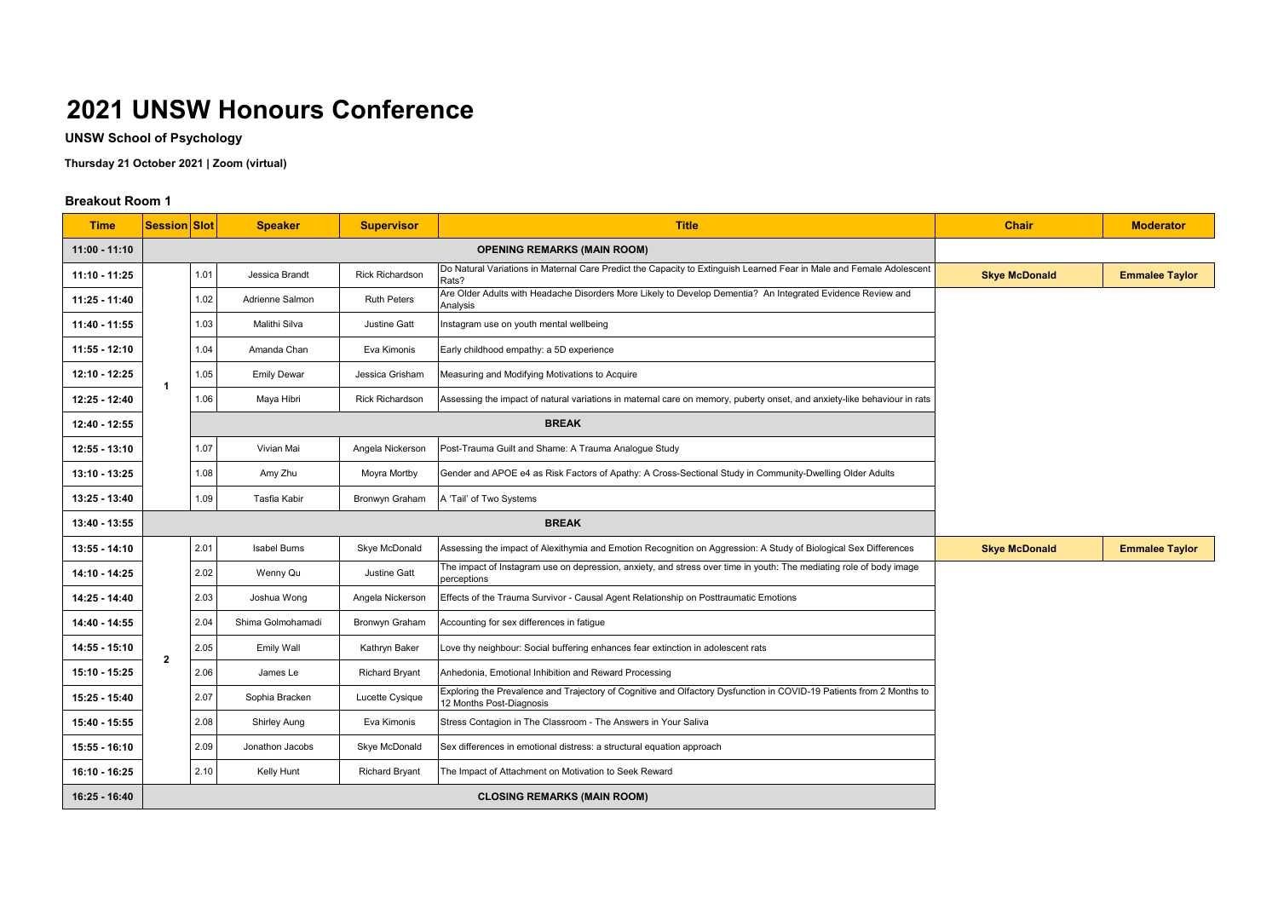**UNSW School of Psychology**

**Thursday 21 October 2021 | Zoom (virtual)**

| <b>Time</b>     | <b>Session Slot</b> |                                    | <b>Speaker</b>     | <b>Supervisor</b>      | <b>Title</b>                                                                                                                                     | <b>Chair</b>         | <b>Moderator</b>      |
|-----------------|---------------------|------------------------------------|--------------------|------------------------|--------------------------------------------------------------------------------------------------------------------------------------------------|----------------------|-----------------------|
| $11:00 - 11:10$ |                     | <b>OPENING REMARKS (MAIN ROOM)</b> |                    |                        |                                                                                                                                                  |                      |                       |
| 11:10 - 11:25   |                     | 1.01                               | Jessica Brandt     | <b>Rick Richardson</b> | Do Natural Variations in Maternal Care Predict the Capacity to Extinguish Learned Fear in Male and Female Adolescent<br>Rats?                    | <b>Skye McDonald</b> | <b>Emmalee Taylor</b> |
| 11:25 - 11:40   |                     | 1.02                               | Adrienne Salmon    | <b>Ruth Peters</b>     | Are Older Adults with Headache Disorders More Likely to Develop Dementia? An Integrated Evidence Review and<br>Analysis                          |                      |                       |
| 11:40 - 11:55   |                     | 1.03                               | Malithi Silva      | Justine Gatt           | Instagram use on youth mental wellbeing                                                                                                          |                      |                       |
| $11:55 - 12:10$ |                     | 1.04                               | Amanda Chan        | Eva Kimonis            | Early childhood empathy: a 5D experience                                                                                                         |                      |                       |
| 12:10 - 12:25   | -1                  | 1.05                               | <b>Emily Dewar</b> | Jessica Grisham        | Measuring and Modifying Motivations to Acquire                                                                                                   |                      |                       |
| 12:25 - 12:40   |                     | 1.06                               | Maya Hibri         | <b>Rick Richardson</b> | Assessing the impact of natural variations in maternal care on memory, puberty onset, and anxiety-like behaviour in rats                         |                      |                       |
| 12:40 - 12:55   |                     |                                    |                    |                        | <b>BREAK</b>                                                                                                                                     |                      |                       |
| 12:55 - 13:10   |                     | 1.07                               | Vivian Mai         | Angela Nickerson       | Post-Trauma Guilt and Shame: A Trauma Analogue Study                                                                                             |                      |                       |
| 13:10 - 13:25   |                     | 1.08                               | Amy Zhu            | Moyra Mortby           | Gender and APOE e4 as Risk Factors of Apathy: A Cross-Sectional Study in Community-Dwelling Older Adults                                         |                      |                       |
| 13:25 - 13:40   |                     | 1.09                               | Tasfia Kabir       | Bronwyn Graham         | A 'Tail' of Two Systems                                                                                                                          |                      |                       |
| 13:40 - 13:55   |                     |                                    |                    |                        | <b>BREAK</b>                                                                                                                                     |                      |                       |
| $13:55 - 14:10$ |                     | 2.01                               | Isabel Burns       | Skye McDonald          | Assessing the impact of Alexithymia and Emotion Recognition on Aggression: A Study of Biological Sex Differences                                 | <b>Skye McDonald</b> | <b>Emmalee Taylor</b> |
| 14:10 - 14:25   | $\mathbf 2$         | 2.02                               | Wenny Qu           | <b>Justine Gatt</b>    | The impact of Instagram use on depression, anxiety, and stress over time in youth: The mediating role of body image<br>perceptions               |                      |                       |
| 14:25 - 14:40   |                     | 2.03                               | Joshua Wong        | Angela Nickerson       | Effects of the Trauma Survivor - Causal Agent Relationship on Posttraumatic Emotions                                                             |                      |                       |
| 14:40 - 14:55   |                     | 2.04                               | Shima Golmohamadi  | Bronwyn Graham         | Accounting for sex differences in fatigue                                                                                                        |                      |                       |
| 14:55 - 15:10   |                     | 2.05                               | Emily Wall         | Kathryn Baker          | Love thy neighbour: Social buffering enhances fear extinction in adolescent rats                                                                 |                      |                       |
| 15:10 - 15:25   |                     | 2.06                               | James Le           | <b>Richard Bryant</b>  | Anhedonia, Emotional Inhibition and Reward Processing                                                                                            |                      |                       |
| 15:25 - 15:40   |                     | 2.07                               | Sophia Bracken     | Lucette Cysique        | Exploring the Prevalence and Trajectory of Cognitive and Olfactory Dysfunction in COVID-19 Patients from 2 Months to<br>12 Months Post-Diagnosis |                      |                       |
| 15:40 - 15:55   |                     | 2.08                               | Shirley Aung       | Eva Kimonis            | Stress Contagion in The Classroom - The Answers in Your Saliva                                                                                   |                      |                       |
| $15:55 - 16:10$ |                     | 2.09                               | Jonathon Jacobs    | Skye McDonald          | Sex differences in emotional distress: a structural equation approach                                                                            |                      |                       |
| 16:10 - 16:25   |                     | 2.10                               | Kelly Hunt         | <b>Richard Bryant</b>  | The Impact of Attachment on Motivation to Seek Reward                                                                                            |                      |                       |
| 16:25 - 16:40   |                     |                                    |                    |                        |                                                                                                                                                  |                      |                       |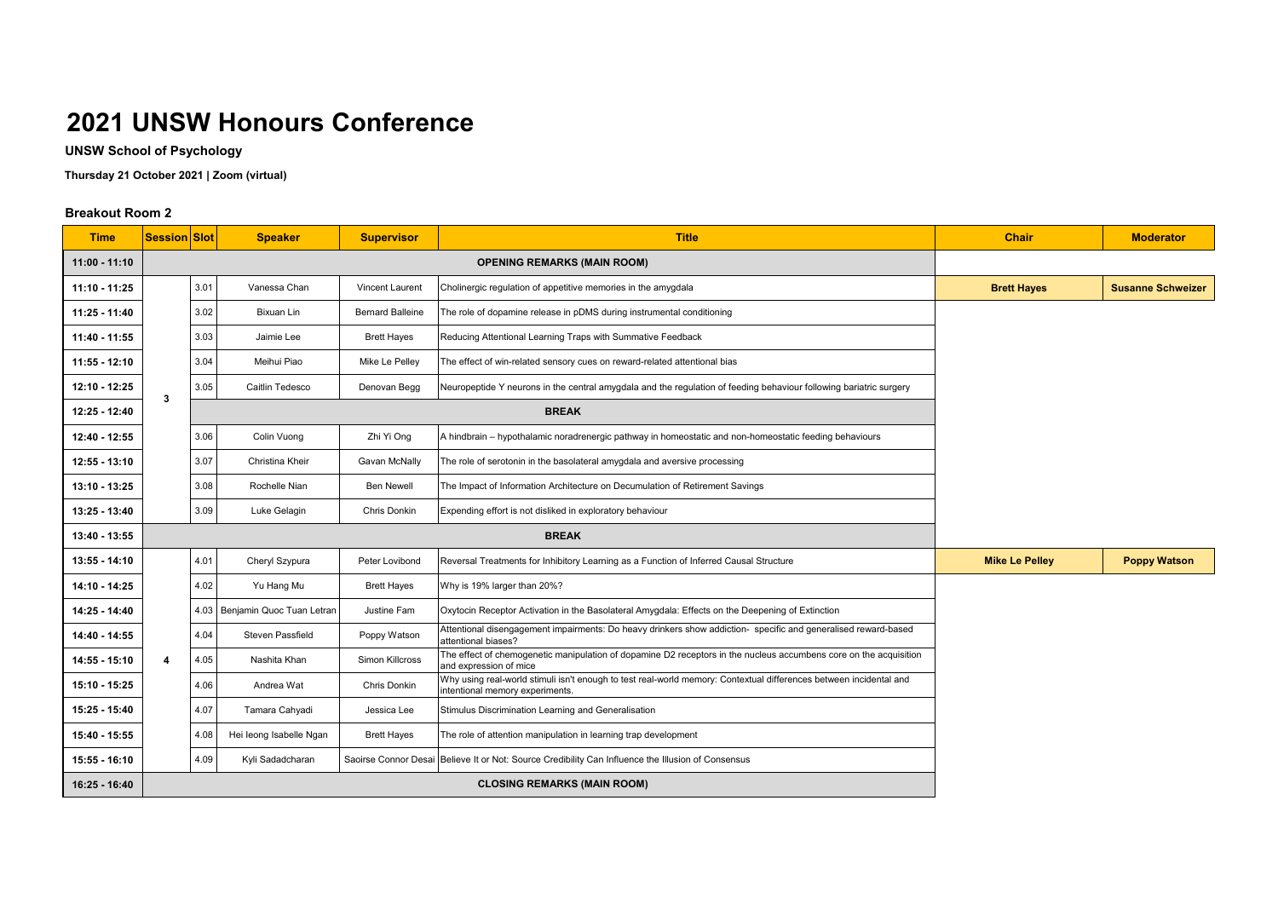**UNSW School of Psychology**

**Thursday 21 October 2021 | Zoom (virtual)**

| <b>Time</b>     | <b>Session Slot</b>                |      | <b>Speaker</b>                 | <b>Supervisor</b>       | <b>Title</b>                                                                                                                                          | <b>Chair</b>          | <b>Moderator</b>         |
|-----------------|------------------------------------|------|--------------------------------|-------------------------|-------------------------------------------------------------------------------------------------------------------------------------------------------|-----------------------|--------------------------|
| $11:00 - 11:10$ | <b>OPENING REMARKS (MAIN ROOM)</b> |      |                                |                         |                                                                                                                                                       |                       |                          |
| $11:10 - 11:25$ |                                    | 3.01 | Vanessa Chan                   | <b>Vincent Laurent</b>  | Cholinergic regulation of appetitive memories in the amygdala                                                                                         | <b>Brett Hayes</b>    | <b>Susanne Schweizer</b> |
| 11:25 - 11:40   |                                    | 3.02 | Bixuan Lin                     | <b>Bernard Balleine</b> | The role of dopamine release in pDMS during instrumental conditioning                                                                                 |                       |                          |
| 11:40 - 11:55   |                                    | 3.03 | Jaimie Lee                     | <b>Brett Hayes</b>      | Reducing Attentional Learning Traps with Summative Feedback                                                                                           |                       |                          |
| 11:55 - 12:10   |                                    | 3.04 | Meihui Piao                    | Mike Le Pelley          | The effect of win-related sensory cues on reward-related attentional bias                                                                             |                       |                          |
| 12:10 - 12:25   | 3                                  | 3.05 | Caitlin Tedesco                | Denovan Begg            | Neuropeptide Y neurons in the central amygdala and the regulation of feeding behaviour following bariatric surgery                                    |                       |                          |
| 12:25 - 12:40   |                                    |      |                                | <b>BREAK</b>            |                                                                                                                                                       |                       |                          |
| 12:40 - 12:55   |                                    | 3.06 | Colin Vuong                    | Zhi Yi Ong              | A hindbrain - hypothalamic noradrenergic pathway in homeostatic and non-homeostatic feeding behaviours                                                |                       |                          |
| $12:55 - 13:10$ |                                    | 3.07 | Christina Kheir                | Gavan McNally           | The role of serotonin in the basolateral amygdala and aversive processing                                                                             |                       |                          |
| 13:10 - 13:25   |                                    | 3.08 | Rochelle Nian                  | <b>Ben Newell</b>       | The Impact of Information Architecture on Decumulation of Retirement Savings                                                                          |                       |                          |
| 13:25 - 13:40   |                                    | 3.09 | Luke Gelagin                   | Chris Donkin            | Expending effort is not disliked in exploratory behaviour                                                                                             |                       |                          |
| 13:40 - 13:55   |                                    |      |                                |                         | <b>BREAK</b>                                                                                                                                          |                       |                          |
| 13:55 - 14:10   |                                    | 4.01 | Cheryl Szypura                 | Peter Lovibond          | Reversal Treatments for Inhibitory Learning as a Function of Inferred Causal Structure                                                                | <b>Mike Le Pelley</b> | <b>Poppy Watson</b>      |
| 14:10 - 14:25   |                                    | 4.02 | Yu Hang Mu                     | <b>Brett Hayes</b>      | Why is 19% larger than 20%?                                                                                                                           |                       |                          |
| 14:25 - 14:40   |                                    |      | 4.03 Benjamin Quoc Tuan Letran | Justine Fam             | Oxytocin Receptor Activation in the Basolateral Amygdala: Effects on the Deepening of Extinction                                                      |                       |                          |
| 14:40 - 14:55   |                                    | 4.04 | <b>Steven Passfield</b>        | Poppy Watson            | Attentional disengagement impairments: Do heavy drinkers show addiction- specific and generalised reward-based<br>attentional biases?                 |                       |                          |
| 14:55 - 15:10   | 4                                  | 4.05 | Nashita Khan                   | Simon Killcross         | The effect of chemogenetic manipulation of dopamine D2 receptors in the nucleus accumbens core on the acquisition<br>and expression of mice           |                       |                          |
| 15:10 - 15:25   |                                    | 4.06 | Andrea Wat                     | Chris Donkin            | Why using real-world stimuli isn't enough to test real-world memory: Contextual differences between incidental and<br>intentional memory experiments. |                       |                          |
| 15:25 - 15:40   |                                    | 4.07 | Tamara Cahyadi                 | Jessica Lee             | Stimulus Discrimination Learning and Generalisation                                                                                                   |                       |                          |
| 15:40 - 15:55   |                                    | 4.08 | Hei leong Isabelle Ngan        | <b>Brett Hayes</b>      | The role of attention manipulation in learning trap development                                                                                       |                       |                          |
| $15:55 - 16:10$ |                                    | 4.09 | Kyli Sadadcharan               |                         | Saoirse Connor Desai Believe It or Not: Source Credibility Can Influence the Illusion of Consensus                                                    |                       |                          |
| 16:25 - 16:40   |                                    |      |                                |                         | <b>CLOSING REMARKS (MAIN ROOM)</b>                                                                                                                    |                       |                          |

| <b>Chair</b>       | <b>Moderator</b>         |
|--------------------|--------------------------|
|                    |                          |
| <b>Brett Hayes</b> | <b>Susanne Schweizer</b> |

| <b>Mike Le Pelley</b> | <b>Poppy Watson</b> |
|-----------------------|---------------------|
|-----------------------|---------------------|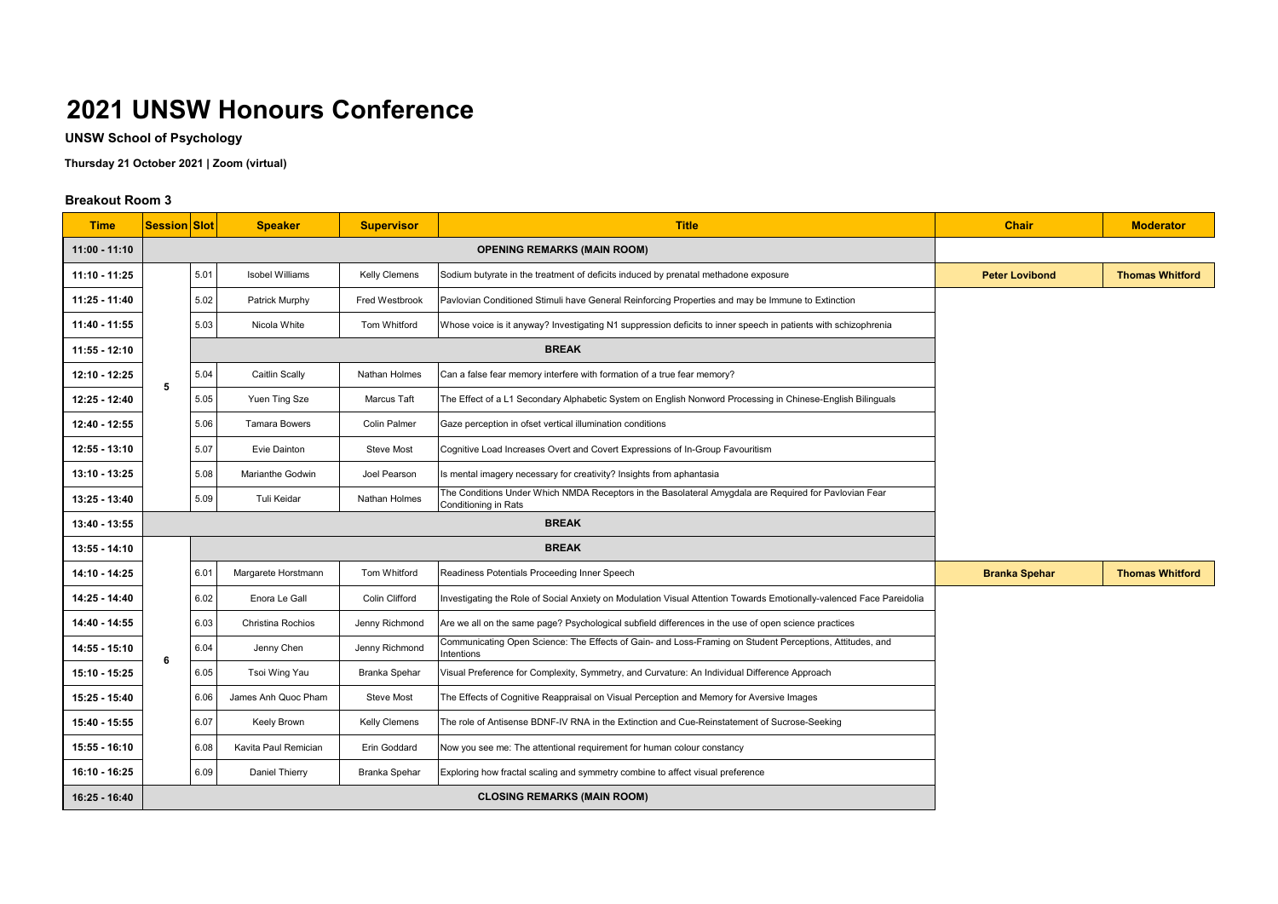**UNSW School of Psychology**

**Thursday 21 October 2021 | Zoom (virtual)**

| <b>Time</b>     | <b>Session Slot</b> |                                    | <b>Speaker</b>         | <b>Supervisor</b>    | <b>Title</b>                                                                                                                  | <b>Chair</b>                                                                                                           | <b>Moderator</b>       |  |
|-----------------|---------------------|------------------------------------|------------------------|----------------------|-------------------------------------------------------------------------------------------------------------------------------|------------------------------------------------------------------------------------------------------------------------|------------------------|--|
| $11:00 - 11:10$ |                     | <b>OPENING REMARKS (MAIN ROOM)</b> |                        |                      |                                                                                                                               |                                                                                                                        |                        |  |
| 11:10 - 11:25   |                     | 5.01                               | <b>Isobel Williams</b> | <b>Kelly Clemens</b> | Sodium butyrate in the treatment of deficits induced by prenatal methadone exposure                                           | <b>Peter Lovibond</b>                                                                                                  | <b>Thomas Whitford</b> |  |
| 11:25 - 11:40   |                     | 5.02                               | Patrick Murphy         | Fred Westbrook       | Pavlovian Conditioned Stimuli have General Reinforcing Properties and may be Immune to Extinction                             |                                                                                                                        |                        |  |
| 11:40 - 11:55   |                     | 5.03                               | Nicola White           | Tom Whitford         | Whose voice is it anyway? Investigating N1 suppression deficits to inner speech in patients with schizophrenia                |                                                                                                                        |                        |  |
| 11:55 - 12:10   |                     |                                    |                        |                      |                                                                                                                               |                                                                                                                        |                        |  |
| 12:10 - 12:25   |                     | 5.04                               | Caitlin Scally         | Nathan Holmes        | Can a false fear memory interfere with formation of a true fear memory?                                                       |                                                                                                                        |                        |  |
| 12:25 - 12:40   | 5                   | 5.05                               | Yuen Ting Sze          | Marcus Taft          | The Effect of a L1 Secondary Alphabetic System on English Nonword Processing in Chinese-English Bilinguals                    |                                                                                                                        |                        |  |
| 12:40 - 12:55   |                     | 5.06                               | <b>Tamara Bowers</b>   | <b>Colin Palmer</b>  | Gaze perception in ofset vertical illumination conditions                                                                     |                                                                                                                        |                        |  |
| 12:55 - 13:10   |                     | 5.07                               | Evie Dainton           | <b>Steve Most</b>    | Cognitive Load Increases Overt and Covert Expressions of In-Group Favouritism                                                 |                                                                                                                        |                        |  |
| 13:10 - 13:25   |                     | 5.08                               | Marianthe Godwin       | Joel Pearson         | Is mental imagery necessary for creativity? Insights from aphantasia                                                          |                                                                                                                        |                        |  |
| 13:25 - 13:40   |                     | 5.09                               | Tuli Keidar            | <b>Nathan Holmes</b> | The Conditions Under Which NMDA Receptors in the Basolateral Amygdala are Required for Pavlovian Fear<br>Conditioning in Rats |                                                                                                                        |                        |  |
| 13:40 - 13:55   |                     |                                    |                        |                      | <b>BREAK</b>                                                                                                                  |                                                                                                                        |                        |  |
| 13:55 - 14:10   |                     |                                    |                        | <b>BREAK</b>         |                                                                                                                               |                                                                                                                        |                        |  |
| 14:10 - 14:25   |                     | 6.01                               | Margarete Horstmann    | <b>Tom Whitford</b>  | Readiness Potentials Proceeding Inner Speech                                                                                  | <b>Branka Spehar</b>                                                                                                   | <b>Thomas Whitford</b> |  |
| 14:25 - 14:40   |                     | 6.02                               | Enora Le Gall          | Colin Clifford       | Investigating the Role of Social Anxiety on Modulation Visual Attention Towards Emotionally-valenced Face Pareidolia          |                                                                                                                        |                        |  |
| 14:40 - 14:55   |                     | 6.03                               | Christina Rochios      | Jenny Richmond       | Are we all on the same page? Psychological subfield differences in the use of open science practices                          |                                                                                                                        |                        |  |
| 14:55 - 15:10   | 6                   |                                    | 6.04                   | Jenny Chen           | Jenny Richmond                                                                                                                | Communicating Open Science: The Effects of Gain- and Loss-Framing on Student Perceptions, Attitudes, and<br>Intentions |                        |  |
| 15:10 - 15:25   |                     | 6.05                               | Tsoi Wing Yau          | <b>Branka Spehar</b> | Visual Preference for Complexity, Symmetry, and Curvature: An Individual Difference Approach                                  |                                                                                                                        |                        |  |
| 15:25 - 15:40   |                     | 6.06                               | James Anh Quoc Pham    | Steve Most           | The Effects of Cognitive Reappraisal on Visual Perception and Memory for Aversive Images                                      |                                                                                                                        |                        |  |
| 15:40 - 15:55   |                     | 6.07                               | Keely Brown            | Kelly Clemens        | The role of Antisense BDNF-IV RNA in the Extinction and Cue-Reinstatement of Sucrose-Seeking                                  |                                                                                                                        |                        |  |
| 15:55 - 16:10   |                     | 6.08                               | Kavita Paul Remician   | Erin Goddard         | Now you see me: The attentional requirement for human colour constancy                                                        |                                                                                                                        |                        |  |
| 16:10 - 16:25   |                     | 6.09                               | Daniel Thierry         | Branka Spehar        | Exploring how fractal scaling and symmetry combine to affect visual preference                                                |                                                                                                                        |                        |  |
| 16:25 - 16:40   |                     |                                    |                        |                      | <b>CLOSING REMARKS (MAIN ROOM)</b>                                                                                            |                                                                                                                        |                        |  |